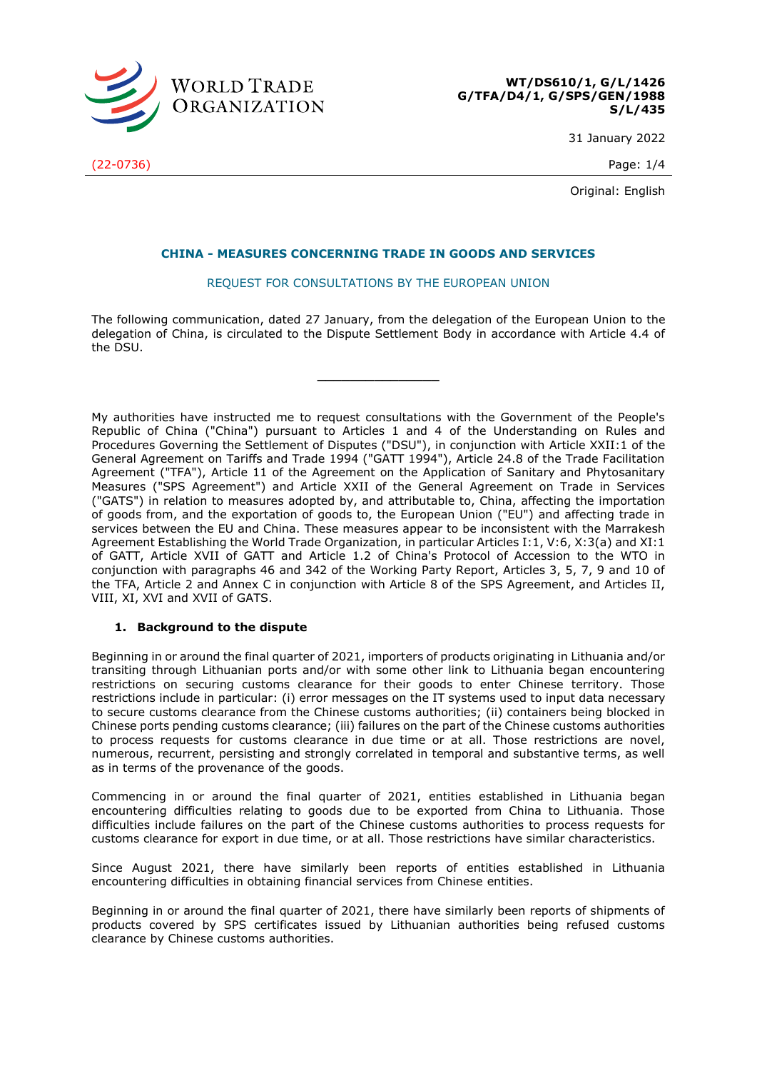

**WT/DS610/1, G/L/1426 G/TFA/D4/1, G/SPS/GEN/1988 S/L/435**

31 January 2022

Original: English

# **CHINA - MEASURES CONCERNING TRADE IN GOODS AND SERVICES**

# REQUEST FOR CONSULTATIONS BY THE EUROPEAN UNION

The following communication, dated 27 January, from the delegation of the European Union to the delegation of China, is circulated to the Dispute Settlement Body in accordance with Article 4.4 of the DSU.

**\_\_\_\_\_\_\_\_\_\_\_\_\_\_\_**

My authorities have instructed me to request consultations with the Government of the People's Republic of China ("China") pursuant to Articles 1 and 4 of the Understanding on Rules and Procedures Governing the Settlement of Disputes ("DSU"), in conjunction with Article XXII:1 of the General Agreement on Tariffs and Trade 1994 ("GATT 1994"), Article 24.8 of the Trade Facilitation Agreement ("TFA"), Article 11 of the Agreement on the Application of Sanitary and Phytosanitary Measures ("SPS Agreement") and Article XXII of the General Agreement on Trade in Services ("GATS") in relation to measures adopted by, and attributable to, China, affecting the importation of goods from, and the exportation of goods to, the European Union ("EU") and affecting trade in services between the EU and China. These measures appear to be inconsistent with the Marrakesh Agreement Establishing the World Trade Organization, in particular Articles I:1, V:6, X:3(a) and XI:1 of GATT, Article XVII of GATT and Article 1.2 of China's Protocol of Accession to the WTO in conjunction with paragraphs 46 and 342 of the Working Party Report, Articles 3, 5, 7, 9 and 10 of the TFA, Article 2 and Annex C in conjunction with Article 8 of the SPS Agreement, and Articles II, VIII, XI, XVI and XVII of GATS.

# **1. Background to the dispute**

Beginning in or around the final quarter of 2021, importers of products originating in Lithuania and/or transiting through Lithuanian ports and/or with some other link to Lithuania began encountering restrictions on securing customs clearance for their goods to enter Chinese territory. Those restrictions include in particular: (i) error messages on the IT systems used to input data necessary to secure customs clearance from the Chinese customs authorities; (ii) containers being blocked in Chinese ports pending customs clearance; (iii) failures on the part of the Chinese customs authorities to process requests for customs clearance in due time or at all. Those restrictions are novel, numerous, recurrent, persisting and strongly correlated in temporal and substantive terms, as well as in terms of the provenance of the goods.

Commencing in or around the final quarter of 2021, entities established in Lithuania began encountering difficulties relating to goods due to be exported from China to Lithuania. Those difficulties include failures on the part of the Chinese customs authorities to process requests for customs clearance for export in due time, or at all. Those restrictions have similar characteristics.

Since August 2021, there have similarly been reports of entities established in Lithuania encountering difficulties in obtaining financial services from Chinese entities.

Beginning in or around the final quarter of 2021, there have similarly been reports of shipments of products covered by SPS certificates issued by Lithuanian authorities being refused customs clearance by Chinese customs authorities.

(22-0736) Page: 1/4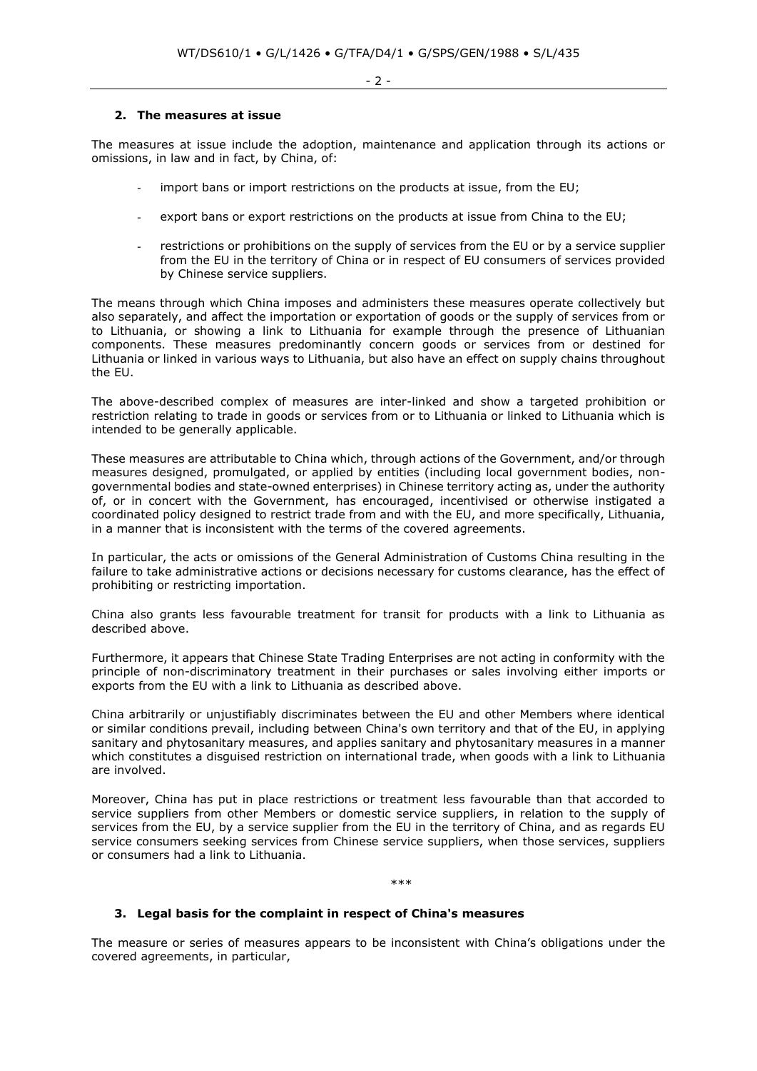- 2 -

#### **2. The measures at issue**

The measures at issue include the adoption, maintenance and application through its actions or omissions, in law and in fact, by China, of:

- import bans or import restrictions on the products at issue, from the EU;
- export bans or export restrictions on the products at issue from China to the EU;
- restrictions or prohibitions on the supply of services from the EU or by a service supplier from the EU in the territory of China or in respect of EU consumers of services provided by Chinese service suppliers.

The means through which China imposes and administers these measures operate collectively but also separately, and affect the importation or exportation of goods or the supply of services from or to Lithuania, or showing a link to Lithuania for example through the presence of Lithuanian components. These measures predominantly concern goods or services from or destined for Lithuania or linked in various ways to Lithuania, but also have an effect on supply chains throughout the EU.

The above-described complex of measures are inter-linked and show a targeted prohibition or restriction relating to trade in goods or services from or to Lithuania or linked to Lithuania which is intended to be generally applicable.

These measures are attributable to China which, through actions of the Government, and/or through measures designed, promulgated, or applied by entities (including local government bodies, nongovernmental bodies and state-owned enterprises) in Chinese territory acting as, under the authority of, or in concert with the Government, has encouraged, incentivised or otherwise instigated a coordinated policy designed to restrict trade from and with the EU, and more specifically, Lithuania, in a manner that is inconsistent with the terms of the covered agreements.

In particular, the acts or omissions of the General Administration of Customs China resulting in the failure to take administrative actions or decisions necessary for customs clearance, has the effect of prohibiting or restricting importation.

China also grants less favourable treatment for transit for products with a link to Lithuania as described above.

Furthermore, it appears that Chinese State Trading Enterprises are not acting in conformity with the principle of non-discriminatory treatment in their purchases or sales involving either imports or exports from the EU with a link to Lithuania as described above.

China arbitrarily or unjustifiably discriminates between the EU and other Members where identical or similar conditions prevail, including between China's own territory and that of the EU, in applying sanitary and phytosanitary measures, and applies sanitary and phytosanitary measures in a manner which constitutes a disguised restriction on international trade, when goods with a link to Lithuania are involved.

Moreover, China has put in place restrictions or treatment less favourable than that accorded to service suppliers from other Members or domestic service suppliers, in relation to the supply of services from the EU, by a service supplier from the EU in the territory of China, and as regards EU service consumers seeking services from Chinese service suppliers, when those services, suppliers or consumers had a link to Lithuania.

#### \*\*\*

# **3. Legal basis for the complaint in respect of China's measures**

The measure or series of measures appears to be inconsistent with China's obligations under the covered agreements, in particular,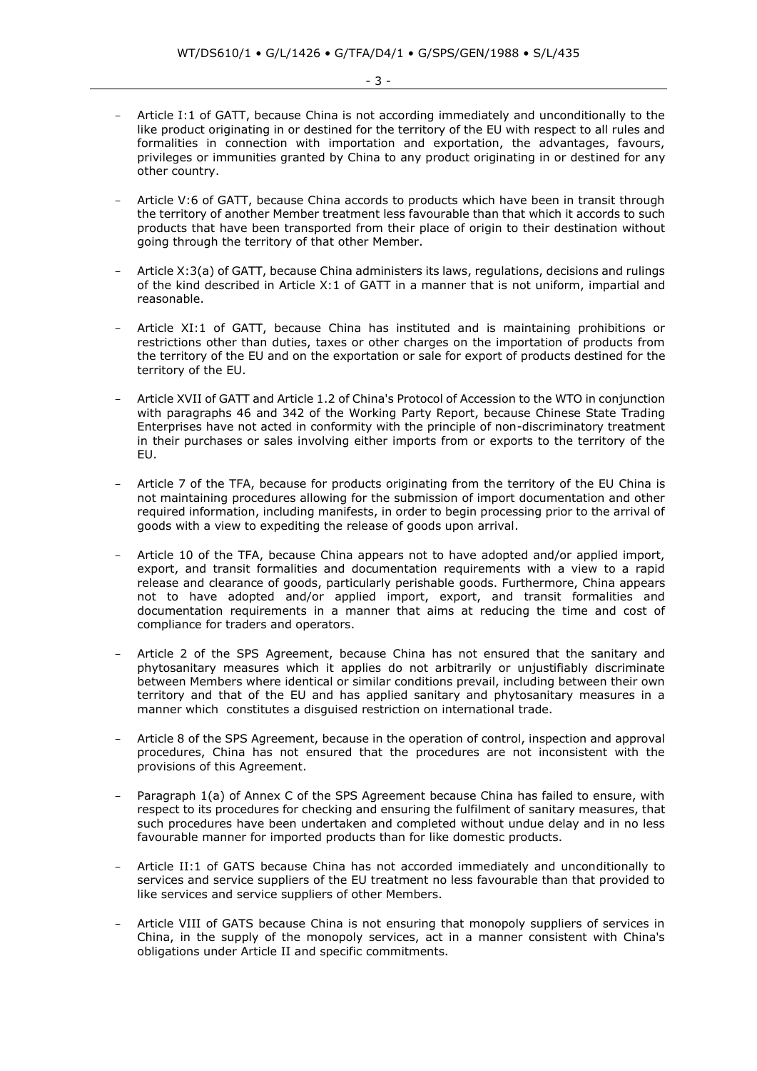- Article I:1 of GATT, because China is not according immediately and unconditionally to the like product originating in or destined for the territory of the EU with respect to all rules and formalities in connection with importation and exportation, the advantages, favours, privileges or immunities granted by China to any product originating in or destined for any other country.
- Article V:6 of GATT, because China accords to products which have been in transit through the territory of another Member treatment less favourable than that which it accords to such products that have been transported from their place of origin to their destination without going through the territory of that other Member.
- Article X:3(a) of GATT, because China administers its laws, regulations, decisions and rulings of the kind described in Article X:1 of GATT in a manner that is not uniform, impartial and reasonable.
- Article XI:1 of GATT, because China has instituted and is maintaining prohibitions or restrictions other than duties, taxes or other charges on the importation of products from the territory of the EU and on the exportation or sale for export of products destined for the territory of the EU.
- Article XVII of GATT and Article 1.2 of China's Protocol of Accession to the WTO in conjunction with paragraphs 46 and 342 of the Working Party Report, because Chinese State Trading Enterprises have not acted in conformity with the principle of non-discriminatory treatment in their purchases or sales involving either imports from or exports to the territory of the EU.
- Article 7 of the TFA, because for products originating from the territory of the EU China is not maintaining procedures allowing for the submission of import documentation and other required information, including manifests, in order to begin processing prior to the arrival of goods with a view to expediting the release of goods upon arrival.
- Article 10 of the TFA, because China appears not to have adopted and/or applied import, export, and transit formalities and documentation requirements with a view to a rapid release and clearance of goods, particularly perishable goods. Furthermore, China appears not to have adopted and/or applied import, export, and transit formalities and documentation requirements in a manner that aims at reducing the time and cost of compliance for traders and operators.
- Article 2 of the SPS Agreement, because China has not ensured that the sanitary and phytosanitary measures which it applies do not arbitrarily or unjustifiably discriminate between Members where identical or similar conditions prevail, including between their own territory and that of the EU and has applied sanitary and phytosanitary measures in a manner which constitutes a disguised restriction on international trade.
- Article 8 of the SPS Agreement, because in the operation of control, inspection and approval procedures, China has not ensured that the procedures are not inconsistent with the provisions of this Agreement.
- Paragraph 1(a) of Annex C of the SPS Agreement because China has failed to ensure, with respect to its procedures for checking and ensuring the fulfilment of sanitary measures, that such procedures have been undertaken and completed without undue delay and in no less favourable manner for imported products than for like domestic products.
- Article II:1 of GATS because China has not accorded immediately and unconditionally to services and service suppliers of the EU treatment no less favourable than that provided to like services and service suppliers of other Members.
- Article VIII of GATS because China is not ensuring that monopoly suppliers of services in China, in the supply of the monopoly services, act in a manner consistent with China's obligations under Article II and specific commitments.